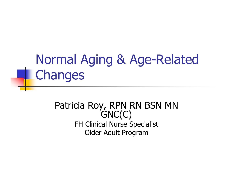# Normal Aging & Age-Related **L** Changes

#### Patricia Roy, RPN RN BSN MN<br>GNC(C) FH Clinical Nurse Specialist Older Adult Program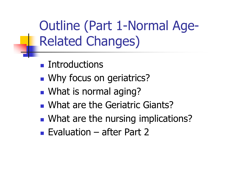Outline (Part 1-Normal Age-Related Changes)

- $\mathbb{R}^3$ **Executed Lines**
- $\mathbb{R}^3$ **Notainal Milke Conson geriatrics?**
- $\mathbb{R}^3$ ■ What is normal aging?
- $\mathbb{R}^3$ **NHAT are the Geriatric Giants?**
- $\mathbb{R}^n$ **NHAT are the nursing implications?**
- Evaluation after Part 2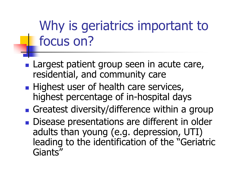# Why is geriatrics important to focus on?

- **Largest patient group seen in acute care,** residential, and community care
- **Service Service** Highest user of health care services, highest percentage of in-hospital days
- **Service Service** ■ Greatest diversity/difference within a group
- **Service Service** Disease presentations are different in older adults than young (e.g. depression, UTI) leading to the identification of the "Geriatric Giants"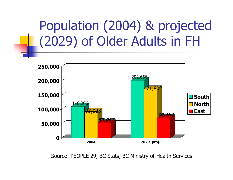# Population (2004) & projected (2029) of Older Adults in FH



Source: PEOPLE 29, BC Stats, BC Ministry of Health Services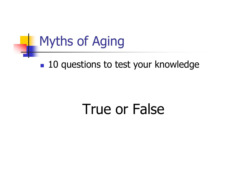## Myths of Aging

#### $\mathbb{R}^3$ ■ 10 questions to test your knowledge

# True or False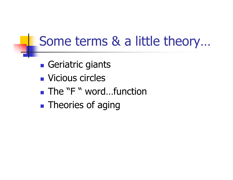# Some terms & a little theory…

- $\mathbb{R}^3$ **• Geriatric giants**
- $\mathbb{R}^3$ ■ Vicious circles
- $\mathbb{R}^3$ ■ The "F " word...function
- $\mathbb{R}^3$ **Theories of aging**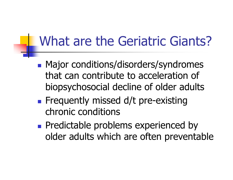# What are the Geriatric Giants?

- **Major conditions/disorders/syndromes** that can contribute to acceleration of biopsychosocial decline of older adults
- **Service Service Filte Frequently missed d/t pre-existing** chronic conditions
- **Predictable problems experienced by** older adults which are often preventable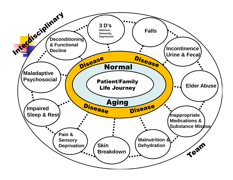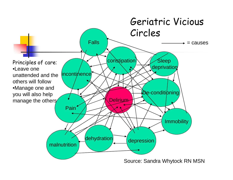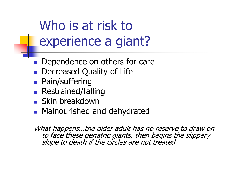Who is at risk to experience a giant?

- $\overline{\mathbb{R}^2}$ Dependence on others for care
- k. **Decreased Quality of Life**
- $\overline{\mathbb{R}^2}$ **Pain/suffering**
- $\blacksquare$  Restrained/fa **Restrained/falling**
- $\overline{\mathbb{R}^2}$ **Skin breakdown**
- **Relational Malnourished a • Malnourished and dehydrated**

What happens...the older adult has no reserve to draw on<br>to face these geriatric giants, then begins the slippery<br>slope to death if the circles are not treated.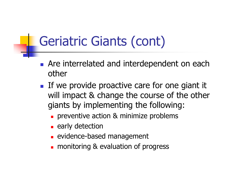# Geriatric Giants (cont)

- H **Are interrelated and interdependent on each** other
- H If we provide proactive care for one giant it will impact & change the course of the other giants by implementing the following:
	- ٠ **preventive action & minimize problems**
	- ٠ **E** early detection
	- П **Example 12 Follow Engineers**
	- П **n** monitoring & evaluation of progress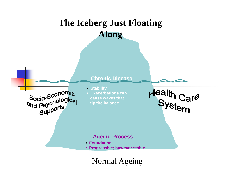#### **The Iceberg Just Floating Along**



Normal Ageing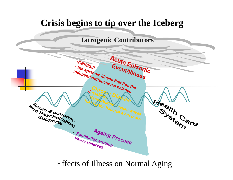

#### Effects of Illness on Normal Aging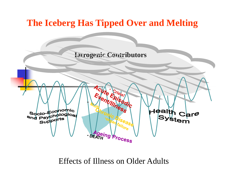

Effects of Illness on Older Adults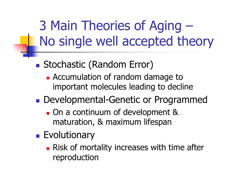3 Main Theories of Aging –No single well accepted theory

- ■ Stochastic (Random Error)
	- **Accumulation of random damage to** important molecules leading to decline
- **Developmental-Genetic or Programmed** 
	- **On a continuum of development &** maturation, & maximum lifespan
- **Exolutionary** 
	- **Risk of mortality increases with time after** reproduction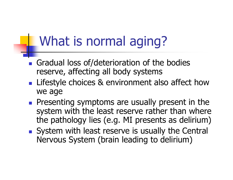## What is normal aging?

- $\overline{\mathbb{R}^2}$ Gradual loss of/deterioration of the bodies reserve, affecting all body systems
- $\overline{\mathbb{R}^2}$ **Lifestyle choices & environment also affect how** we age
- $\overline{\mathbb{R}^2}$ **Presenting symptoms are usually present in the** system with the least reserve rather than where the pathology lies (e.g. MI presents as delirium)
- $\overline{\mathbb{R}^2}$ System with least reserve is usually the Central Nervous System (brain leading to delirium)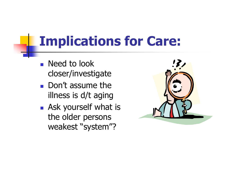# **Implications for Care:**

- H **Need to look** closer/investigate
- H **Don't assume the** illness is d/t aging
- H **Ask yourself what is** the older persons weakest "system"?

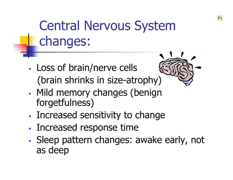# Central Nervous System changes:

- $\mathcal{L}_{\mathcal{A}}$  Loss of brain/nerve cells (brain shrinks in size-atrophy)
- Mild memory changes (benign forgetfulness)
- $\mathcal{L}_{\mathcal{A}}$ Increased sensitivity to change
- -Increased response time
- Sleep pattern changes: awake early, not as deep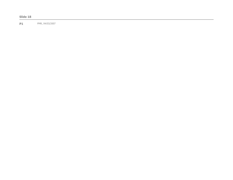**P1** PMR, 04/03/2007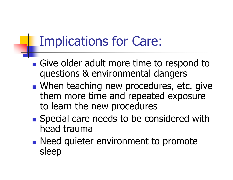## Implications for Care:

- **Service Service** Give older adult more time to respond to questions & environmental dangers
- **Service Service Notaing new procedures, etc. give Interior controller** them more time and repeated exposure to learn the new procedures
- **Service Service Special care needs to be considered with** head trauma
- **Service Service Need quieter environment to promote** sleep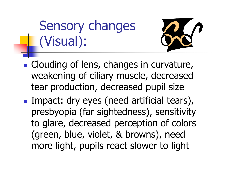Sensory changes (Visual):



- **Clouding of lens, changes in curvature,** weakening of ciliary muscle, decreased tear production, decreased pupil size
- **Service Service Impact: dry eyes (need artificial tears),** presbyopia (far sightedness), sensitivity to glare, decreased perception of colors (green, blue, violet, & browns), need more light, pupils react slower to light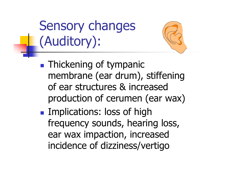Sensory changes (Auditory):



 $\mathbb{R}^3$ **Implications: loss of high** frequency sounds, hearing loss, ear wax impaction, increased incidence of dizziness/vertigo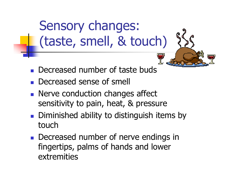Sensory changes: (taste, smell, & touch)

- $\overline{\mathbb{R}^2}$ **Decreased number of taste buds**
- b. **Decreased sense of smell**
- $\overline{\mathbb{R}^2}$  Nerve conduction changes affect sensitivity to pain, heat, & pressure
- $\overline{\mathbb{R}^2}$ **Diminished ability to distinguish items by** touch
- $\overline{\mathbb{R}^2}$ **Decreased number of nerve endings in** fingertips, palms of hands and lower extremities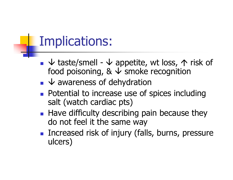#### Implications:

- $\bullet$   $\downarrow$  taste/smell  $\downarrow$  appetite, wt loss,  $\uparrow$  risk of<br>food poisoning &  $\downarrow$  smoke recognition food poisoning,  $\& \downarrow$  smoke recognition
- $\bullet$   $\bullet$  awareness of dehydration
- <u>ra</u> **Potential to increase use of spices including** salt (watch cardiac pts)
- H **Have difficulty describing pain because they** do not feel it the same way
- H **Increased risk of injury (falls, burns, pressure** ulcers)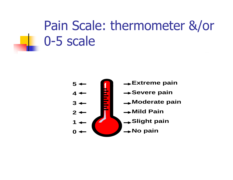# Pain Scale: thermometer &/or 0-5 scale

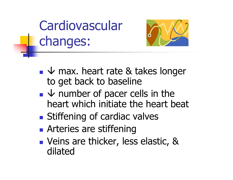# **Cardiovascular** changes:



- **Service Service**  $\blacktriangleright$   $\blacktriangleright$  max. heart rate & takes longer<br>to get hack to haseline to get back to baseline
- $\downarrow$  number of pacer cells in the<br>heart which initiate the heart he **Service Service** heart which initiate the heart beat
- **Service Service Stiffening of cardiac valves**
- **Service Service Arteries are stiffening**
- **Veins are thicker, less elastic, &** dilated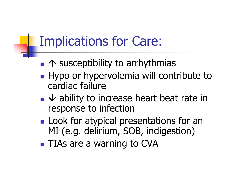# Implications for Care:

- ↑ susceptibility to arrhythmias
- **Hypo or hypervolemia will contribute to** cardiac failure
- $\bullet\,\,\forall$  ability to increase heart beat rate in<br>response to infection response to infection
- $\mathbb{R}^3$ **Look for atypical presentations for an** MI (e.g. delirium, SOB, indigestion)
- $\mathbb{R}^3$ **TIAs are a warning to CVA**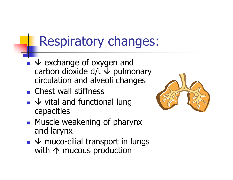# Respiratory changes:

- $\bullet$   $\downarrow$  exchange of oxygen and<br>carbon dioxide d/t  $\downarrow$  nulmo carbon dioxide d/t  $\downarrow$  pulmonary<br>circulation and alveoli changes circulation and alveoli changes
- b. **Chest wall stiffness**
- $\bullet\;\;\forall$  vital and functional lung<br>canacities capacities



- **Muscle weakening of pharynx** and larynx
- $\bullet \forall$  muco-cilial transport in lungs<br>with  $\land$  mucous production with  $\uparrow$  mucous production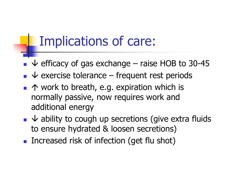#### Implications of care:

- b.  $\sqrt{\frac{1}{2}}$  efficacy of gas exchange – raise HOB to 30-45
- $\bullet$   $\bullet$  exercise tolerance frequent rest periods
- $\bullet$   $\uparrow$  work to breath, e.g. expiration which is normally pactive now required work and normally passive, now requires work and additional energy
- $\bullet\;\mathsf{\downarrow}$  ability to cough up secretions (give extra fluids<br>to ensure hydrated & loosen secretions) to ensure hydrated & loosen secretions)
- b. **Increased risk of infection (get flu shot)**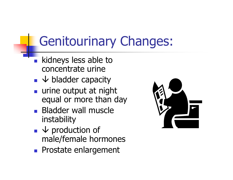# Genitourinary Changes:

- $\overline{\mathbb{R}^2}$ **kidneys less able to** concentrate urine
- $\overline{\mathbb{R}^2}$  $\bullet$   $\downarrow$  bladder capacity
- $\overline{\mathbb{R}^2}$ urine output at night equal or more than day
- $\overline{\mathbb{R}^2}$ **Bladder wall muscle** instability
- $\overline{\mathbb{R}^2}$  $\bullet$   $\downarrow$  production of<br>male/female hori male/female hormones
- b. **Prostate enlargement**

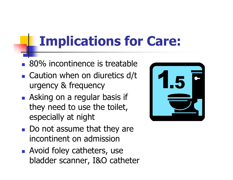# **Implications for Care:**

- $\overline{\mathbb{R}^2}$ 80% incontinence is treatable
- $\overline{\mathbb{R}^2}$ ■ Caution when on diuretics d/t urgency & frequency
- **Asking on a regular basis if** they need to use the toilet, especially at night
- $\overline{\mathbb{R}}$ Do not assume that they are incontinent on admission
- $\overline{\mathbb{R}}$ **Avoid foley catheters, use** bladder scanner, I&O catheter

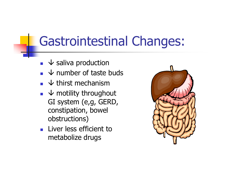## Gastrointestinal Changes:

- $\mathbb{R}^2$  $\bullet$   $\bullet$  saliva production
- F  $\bullet$  whumber of taste buds
- k.  $\bullet$   $\downarrow$  thirst mechanism
- $\overline{\Psi}$  motility throughout<br>GI system (e.g. GEPD k. GI system (e,g, GERD, constipation, bowel obstructions)
- k. **Liver less efficient to** metabolize drugs

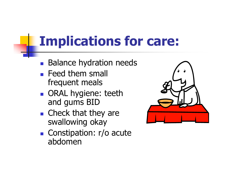# **Implications for care:**

- T **Balance hydration needs**
- T **Feed them small** frequent meals
- <u>ra</u> **ORAL hygiene: teeth** and gums BID
- $\blacksquare$  Check that th **Check that they are** swallowing okay
- T Constipation: r/o acute abdomen

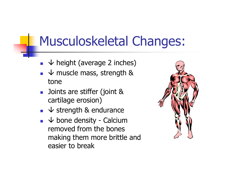#### Musculoskeletal Changes:

- $\longrightarrow$  height (average 2 inches)
- $\bullet\quad \downarrow$  muscle mass, strength & tone
- k. **D** Joints are stiffer (joint & cartilage erosion)
- $\bullet\;\mathsf{S}$  v strength & endurance
- $\bullet\;\;\forall$  bone density Calcium<br>removed from the hones removed from the bones making them more brittle and easier to break

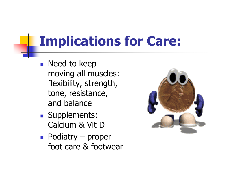# **Implications for Care:**

- T **Need to keep** moving all muscles: flexibility, strength, tone, resistance, and balance
- <u>ra</u> **Supplements:** Calcium & Vit D
- T Podiatry – proper<br>foot care & footwe foot care & footwear

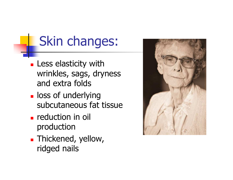# Skin changes:

- П **Less elasticity with** wrinkles, sags, dryness and extra folds
- Т, **L** loss of underlying subcutaneous fat tissue
- Т, **reduction in oil** production
- Т, **Thickened, yellow,** ridged nails

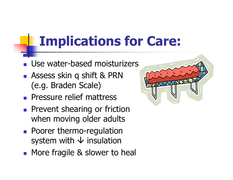# **Implications for Care:**

- $\overline{\mathbb{R}}$ Use water-based moisturizers
- $\overline{\mathbb{R}}$  Assess skin q shift & PRN (e.g. Braden Scale)
- **Pressure relief mattress**
- $\overline{\mathbb{R}}$ **Prevent shearing or friction** when moving older adults
- $\overline{\mathbb{R}}$ **Poorer thermo-regulation** system with  $\downarrow$  insulation
- $\overline{\mathbb{R}}$ **Nore fragile & slower to heal**

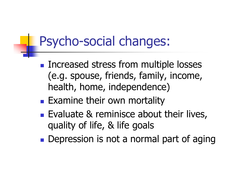## Psycho-social changes:

- $\mathbb{R}^3$ **Increased stress from multiple losses** (e.g. spouse, friends, family, income, health, home, independence)
- $\mathbb{R}^3$ **Examine their own mortality**
- **Evaluate & reminisce about their lives,** quality of life, & life goals
- $\mathbb{R}^3$ **• Depression is not a normal part of aging**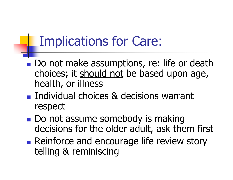# Implications for Care:

- **Service Service** Do not make assumptions, re: life or death choices; it should not be based upon age, health, or illness
- **Service Service Individual choices & decisions warrant** respect
- **Service Service** Do not assume somebody is making decisions for the older adult, ask them first
- **Service Service Reinforce and encourage life review story** telling & reminiscing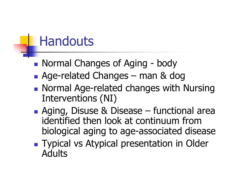#### **Handouts**

- **Service Service** Normal Changes of Aging - body<br>- Age-related Changes – man 8. do
- **Service Service Age-related Changes – man & dog**<br>- Normal Age-related changes with I
- **Normal Age-related changes with Nursing** Interventions (NI)
- **Service Service** Aging, Disuse & Disease – functional area<br>identified then look at continuum from identified then look at continuum from biological aging to age-associated disease
- **Service Service Typical vs Atypical presentation in Older** Adults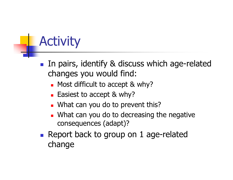# **Activity**

- T **IF In pairs, identify & discuss which age-related** changes you would find:
	- П **•** Most difficult to accept & why?
	- П **Easiest to accept & why?**
	- П What can you do to prevent this?
	- ٠ **Nhat can you do to decreasing the negative** consequences (adapt)?
- T **Report back to group on 1 age-related** change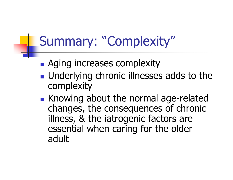# Summary: "Complexity"

- $\mathbb{R}^3$ **• Aging increases complexity**
- **Underlying chronic illnesses adds to the** complexity
- $\mathbb{R}^3$ Knowing about the normal age-related changes, the consequences of chronic illness, & the iatrogenic factors are essential when caring for the older adult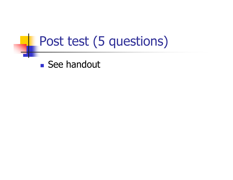#### Post test (5 questions)

 $\mathbb{R}^3$ ■ See handout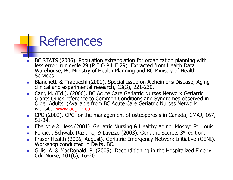#### References

- ▉ BC STATS (2006). Population extrapolation for organization planning with less error, run cycle 29 (P.E.O.P.L.E.29). Extracted from Health Data Warehouse, BC Ministry of Health Planning and BC Ministry of Health Services.
- Blanchetti & Trabucchi (2001), Special Issue on Alzheimer's Disease, Aging clinical and experimental research, 13(3), 221-230.
- Giants Quick reference to Common Conditions and Syndromes observed in Older Adults, (Available from BC Acute Care Geriatric Nurses Network website: www.acgnn.ca
- CPG (2002). CPG for the management of osteoporosis in Canada, CMAJ, 167, S1-34.
- **Ebersole & Hess (2001). Geriatric Nursing & Healthy Aging. Mosby: St. Louis.**
- $\sim$ Forciea, Schwab, Raziano, & Lavizzo (2003). Geriatric Secrets 3rd edition.
- П Fraser Health (2006, August). Geriatric Emergency Network Initiative (GENI). Workshop conducted in Delta, BC.
- Gillis, A. & MacDonald, B. (2005). Deconditioning in the Hospitalized Elderly, Cdn Nurse, 101(6), 16-20. ▉